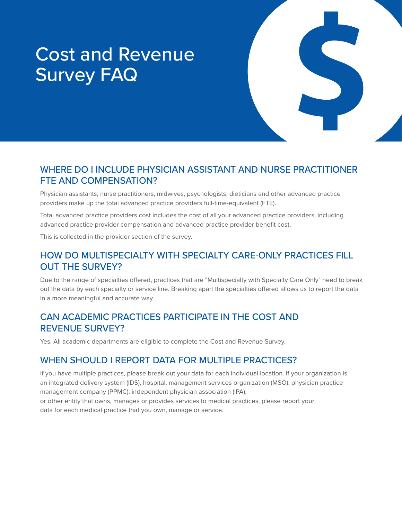# Cost and Revenue Survey FAQ

## WHERE DO I INCLUDE PHYSICIAN ASSISTANT AND NURSE PRACTITIONER FTE AND COMPENSATION?

Physician assistants, nurse practitioners, midwives, psychologists, dieticians and other advanced practice providers make up the total advanced practice providers full-time-equivalent (FTE).

Total advanced practice providers cost includes the cost of all your advanced practice providers, including advanced practice provider compensation and advanced practice provider benefit cost.

This is collected in the provider section of the survey.

## HOW DO MULTISPECIALTY WITH SPECIALTY CARE-ONLY PRACTICES FILL OUT THE SURVEY?

Due to the range of specialties offered, practices that are "Multispecialty with Specialty Care Only" need to break out the data by each specialty or service line. Breaking apart the specialties offered allows us to report the data in a more meaningful and accurate way.

#### CAN ACADEMIC PRACTICES PARTICIPATE IN THE COST AND REVENUE SURVEY?

Yes. All academic departments are eligible to complete the Cost and Revenue Survey.

#### WHEN SHOULD I REPORT DATA FOR MULTIPLE PRACTICES?

If you have multiple practices, please break out your data for each individual location. If your organization is an integrated delivery system (IDS), hospital, management services organization (MSO), physician practice management company (PPMC), independent physician association (IPA), or other entity that owns, manages or provides services to medical practices, please report your data for each medical practice that you own, manage or service.